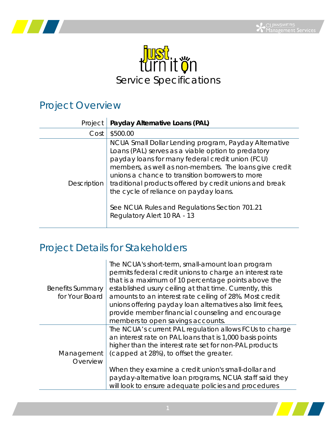



## Project Overview

| Project     | Payday Alternative Loans (PAL)                                                                                                                                                                                                                                                                                                                                                                                                                                    |
|-------------|-------------------------------------------------------------------------------------------------------------------------------------------------------------------------------------------------------------------------------------------------------------------------------------------------------------------------------------------------------------------------------------------------------------------------------------------------------------------|
| Cost        | \$500.00                                                                                                                                                                                                                                                                                                                                                                                                                                                          |
| Description | NCUA Small Dollar Lending program, Payday Alternative<br>Loans (PAL) serves as a viable option to predatory<br>payday loans for many federal credit union (FCU)<br>members, as well as non-members. The loans give credit<br>unions a chance to transition borrowers to more<br>traditional products offered by credit unions and break<br>the cycle of reliance on payday loans.<br>See NCUA Rules and Regulations Section 701.21<br>Regulatory Alert 10 RA - 13 |

## Project Details for Stakeholders

| <b>Benefits Summary</b><br>for Your Board | The NCUA's short-term, small-amount loan program<br>permits federal credit unions to charge an interest rate<br>that is a maximum of 10 percentage points above the<br>established usury ceiling at that time. Currently, this<br>amounts to an interest rate ceiling of 28%. Most credit<br>unions offering payday loan alternatives also limit fees,<br>provide member financial counseling and encourage<br>members to open savings accounts. |
|-------------------------------------------|--------------------------------------------------------------------------------------------------------------------------------------------------------------------------------------------------------------------------------------------------------------------------------------------------------------------------------------------------------------------------------------------------------------------------------------------------|
| Management<br>Overview                    | The NCUA's current PAL regulation allows FCUs to charge<br>an interest rate on PAL loans that is 1,000 basis points<br>higher than the interest rate set for non-PAL products<br>(capped at 28%), to offset the greater.<br>When they examine a credit union's small-dollar and<br>payday-alternative loan programs, NCUA staff said they<br>will look to ensure adequate policies and procedures                                                |

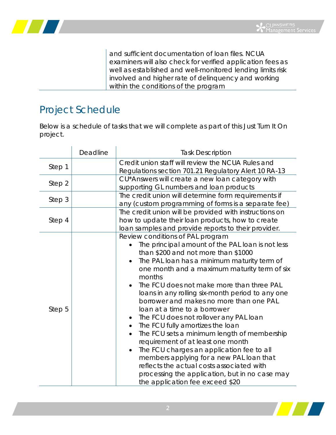

and sufficient documentation of loan files. NCUA examiners will also check for verified application fees as well as established and well-monitored lending limits risk involved and higher rate of delinquency and working within the conditions of the program

## Project Schedule

Below is a schedule of tasks that we will complete as part of this Just Turn It On project.

|        | Deadline | <b>Task Description</b>                                                                                                                                                                                                                                                                                                                                                                                                                                                                                                                                                                                                                                                                                                                                                                                                                              |
|--------|----------|------------------------------------------------------------------------------------------------------------------------------------------------------------------------------------------------------------------------------------------------------------------------------------------------------------------------------------------------------------------------------------------------------------------------------------------------------------------------------------------------------------------------------------------------------------------------------------------------------------------------------------------------------------------------------------------------------------------------------------------------------------------------------------------------------------------------------------------------------|
| Step 1 |          | Credit union staff will review the NCUA Rules and<br>Regulations section 701.21 Regulatory Alert 10 RA-13                                                                                                                                                                                                                                                                                                                                                                                                                                                                                                                                                                                                                                                                                                                                            |
| Step 2 |          | CU*Answers will create a new loan category with<br>supporting GL numbers and loan products                                                                                                                                                                                                                                                                                                                                                                                                                                                                                                                                                                                                                                                                                                                                                           |
| Step 3 |          | The credit union will determine form requirements if<br>any (custom programming of forms is a separate fee)                                                                                                                                                                                                                                                                                                                                                                                                                                                                                                                                                                                                                                                                                                                                          |
| Step 4 |          | The credit union will be provided with instructions on<br>how to update their loan products, how to create<br>loan samples and provide reports to their provider.                                                                                                                                                                                                                                                                                                                                                                                                                                                                                                                                                                                                                                                                                    |
| Step 5 |          | Review conditions of PAL program<br>The principal amount of the PAL loan is not less<br>than \$200 and not more than \$1000<br>The PAL loan has a minimum maturity term of<br>one month and a maximum maturity term of six<br>months<br>The FCU does not make more than three PAL<br>$\bullet$<br>loans in any rolling six-month period to any one<br>borrower and makes no more than one PAL<br>loan at a time to a borrower<br>The FCU does not rollover any PAL loan<br>The FCU fully amortizes the loan<br>The FCU sets a minimum length of membership<br>$\bullet$<br>requirement of at least one month<br>The FCU charges an application fee to all<br>$\bullet$<br>members applying for a new PAL loan that<br>reflects the actual costs associated with<br>processing the application, but in no case may<br>the application fee exceed \$20 |